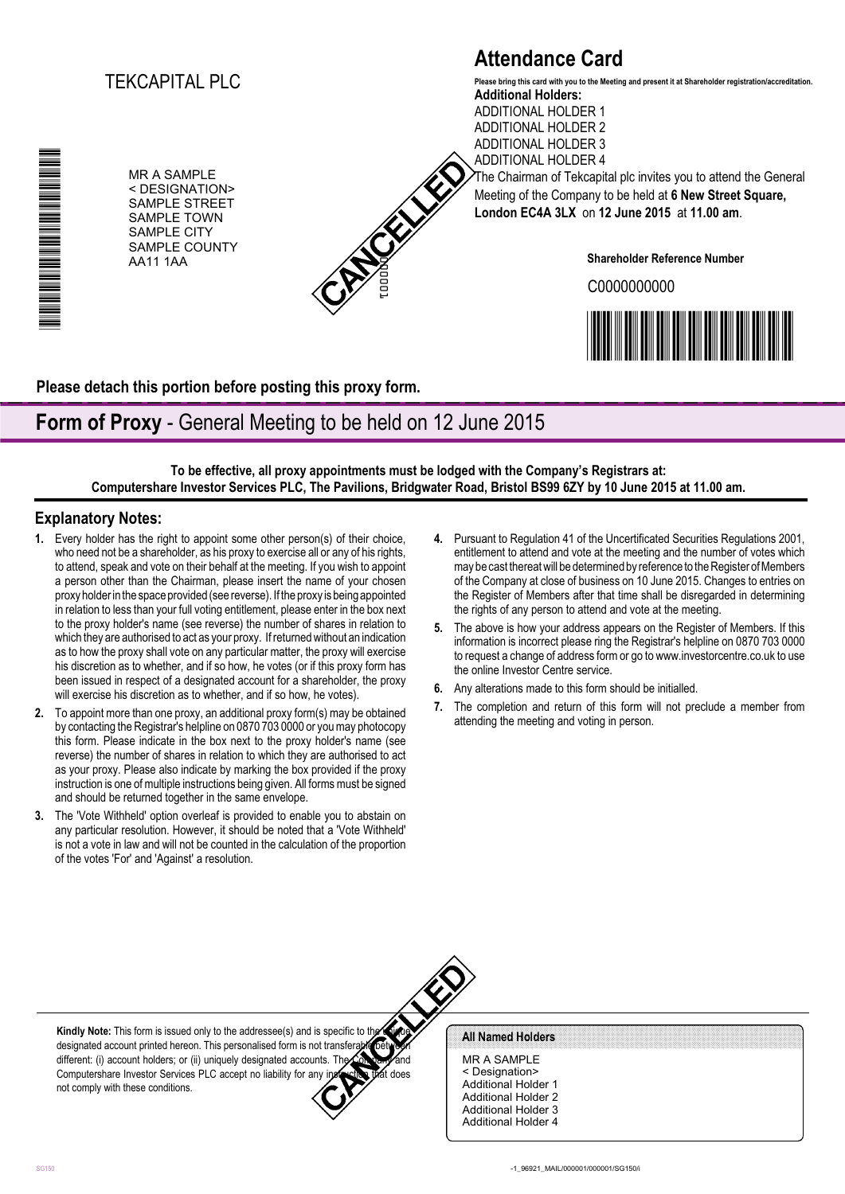## TEKCAPITAL PLC

MR A SAMPLE < DESIGNATION> SAMPLE STREET SAMPLE TOWN SAMPLE CITY SAMPLE COUNTY AA11 1AA

000001

# **Attendance Card**

**Additional Holders:** ADDITIONAL HOLDER 1 ADDITIONAL HOLDER 2 **Please bring this card with you to the Meeting and present it at Shareholder registration/accreditation.**

ADDITIONAL HOLDER 3 ADDITIONAL HOLDER 4 The Chairman of Tekcapital plc invites you to attend the General Meeting of the Company to be held at **6 New Street Square, London EC4A 3LX** on **12 June 2015** at **11.00 am**.

**Shareholder Reference Number**

C0000000000



**Please detach this portion before posting this proxy form.**

## **Form of Proxy** - General Meeting to be held on 12 June 2015

**To be effective, all proxy appointments must be lodged with the Company's Registrars at: Computershare Investor Services PLC, The Pavilions, Bridgwater Road, Bristol BS99 6ZY by 10 June 2015 at 11.00 am.**

### **Explanatory Notes:**

\*00000101010000\*

▊▊▊▊▊▊▊▊▊▊▊▊▊▊▊▊

- **1.** Every holder has the right to appoint some other person(s) of their choice, who need not be a shareholder, as his proxy to exercise all or any of his rights, to attend, speak and vote on their behalf at the meeting. If you wish to appoint a person other than the Chairman, please insert the name of your chosen proxy holder in the space provided (see reverse). If the proxy is being appointed in relation to less than your full voting entitlement, please enter in the box next to the proxy holder's name (see reverse) the number of shares in relation to which they are authorised to act as your proxy. If returned without an indication as to how the proxy shall vote on any particular matter, the proxy will exercise his discretion as to whether, and if so how, he votes (or if this proxy form has been issued in respect of a designated account for a shareholder, the proxy will exercise his discretion as to whether, and if so how, he votes).
- **2.** To appoint more than one proxy, an additional proxy form(s) may be obtained by contacting the Registrar's helpline on 0870 703 0000 or you may photocopy this form. Please indicate in the box next to the proxy holder's name (see reverse) the number of shares in relation to which they are authorised to act as your proxy. Please also indicate by marking the box provided if the proxy instruction is one of multiple instructions being given. All forms must be signed and should be returned together in the same envelope.
- **3.** The 'Vote Withheld' option overleaf is provided to enable you to abstain on any particular resolution. However, it should be noted that a 'Vote Withheld' is not a vote in law and will not be counted in the calculation of the proportion of the votes 'For' and 'Against' a resolution.
- **4.** Pursuant to Regulation 41 of the Uncertificated Securities Regulations 2001, entitlement to attend and vote at the meeting and the number of votes which may be cast thereat will be determined by reference to the Register of Members of the Company at close of business on 10 June 2015. Changes to entries on the Register of Members after that time shall be disregarded in determining the rights of any person to attend and vote at the meeting.
- **5.** The above is how your address appears on the Register of Members. If this information is incorrect please ring the Registrar's helpline on 0870 703 0000 to request a change of address form or go to www.investorcentre.co.uk to use the online Investor Centre service.
- **6.** Any alterations made to this form should be initialled.
- **7.** The completion and return of this form will not preclude a member from attending the meeting and voting in person.

**Kindly Note:** This form is issued only to the addressee(s) and is specific to the designated account printed hereon. This personalised form is not transferable between different: (i) account holders; or (ii) uniquely designated accounts. The Computershare Investor Services PLC accept no liability for any instruction that does not comply with these conditions.

#### All Named Holders

MR A SAMPLE < Designation> Additional Holder 1 Additional Holder 2 Additional Holder 3 Additional Holder 4